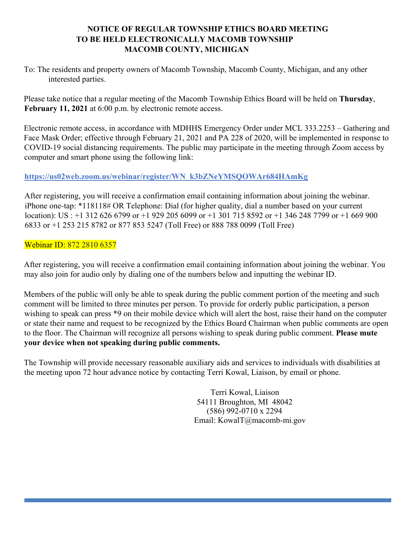## **NOTICE OF REGULAR TOWNSHIP ETHICS BOARD MEETING TO BE HELD ELECTRONICALLY MACOMB TOWNSHIP MACOMB COUNTY, MICHIGAN**

To: The residents and property owners of Macomb Township, Macomb County, Michigan, and any other interested parties.

Please take notice that a regular meeting of the Macomb Township Ethics Board will be held on **Thursday**, **February 11, 2021** at 6:00 p.m. by electronic remote access.

Electronic remote access, in accordance with MDHHS Emergency Order under MCL 333.2253 – Gathering and Face Mask Order; effective through February 21, 2021 and PA 228 of 2020, will be implemented in response to COVID-19 social distancing requirements. The public may participate in the meeting through Zoom access by computer and smart phone using the following link:

## **https://us02web.zoom.us/webinar/register/WN\_k3bZNeYMSQOWAr684HAmKg**

After registering, you will receive a confirmation email containing information about joining the webinar. iPhone one-tap: \*118118# OR Telephone: Dial (for higher quality, dial a number based on your current location): US : +1 312 626 6799 or +1 929 205 6099 or +1 301 715 8592 or +1 346 248 7799 or +1 669 900 6833 or +1 253 215 8782 or 877 853 5247 (Toll Free) or 888 788 0099 (Toll Free)

## Webinar ID: 872 2810 6357

After registering, you will receive a confirmation email containing information about joining the webinar. You may also join for audio only by dialing one of the numbers below and inputting the webinar ID.

Members of the public will only be able to speak during the public comment portion of the meeting and such comment will be limited to three minutes per person. To provide for orderly public participation, a person wishing to speak can press \*9 on their mobile device which will alert the host, raise their hand on the computer or state their name and request to be recognized by the Ethics Board Chairman when public comments are open to the floor. The Chairman will recognize all persons wishing to speak during public comment. **Please mute your device when not speaking during public comments.**

The Township will provide necessary reasonable auxiliary aids and services to individuals with disabilities at the meeting upon 72 hour advance notice by contacting Terri Kowal, Liaison, by email or phone.

> Terri Kowal, Liaison 54111 Broughton, MI 48042 (586) 992-0710 x 2294 Email: KowalT@macomb-mi.gov